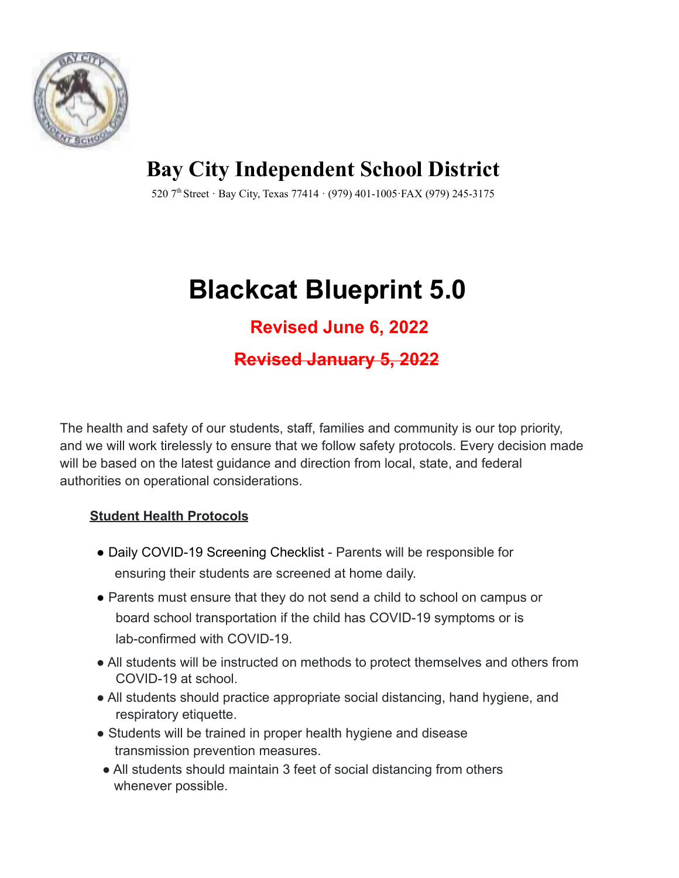

**Bay City Independent School District**

520 7 th Street · Bay City, Texas 77414 · (979) 401-1005·FAX (979) 245-3175

# **Blackcat Blueprint 5.0**

# **Revised June 6, 2022**

# **Revised January 5, 2022**

The health and safety of our students, staff, families and community is our top priority, and we will work tirelessly to ensure that we follow safety protocols. Every decision made will be based on the latest guidance and direction from local, state, and federal authorities on operational considerations.

# **Student Health Protocols**

- Daily COVID-19 Screening Checklist Parents will be responsible for ensuring their students are screened at home daily.
- Parents must ensure that they do not send a child to school on campus or board school transportation if the child has COVID-19 symptoms or is lab-confirmed with COVID-19.
- All students will be instructed on methods to protect themselves and others from COVID-19 at school.
- All students should practice appropriate social distancing, hand hygiene, and respiratory etiquette.
- Students will be trained in proper health hygiene and disease transmission prevention measures.
- All students should maintain 3 feet of social distancing from others whenever possible.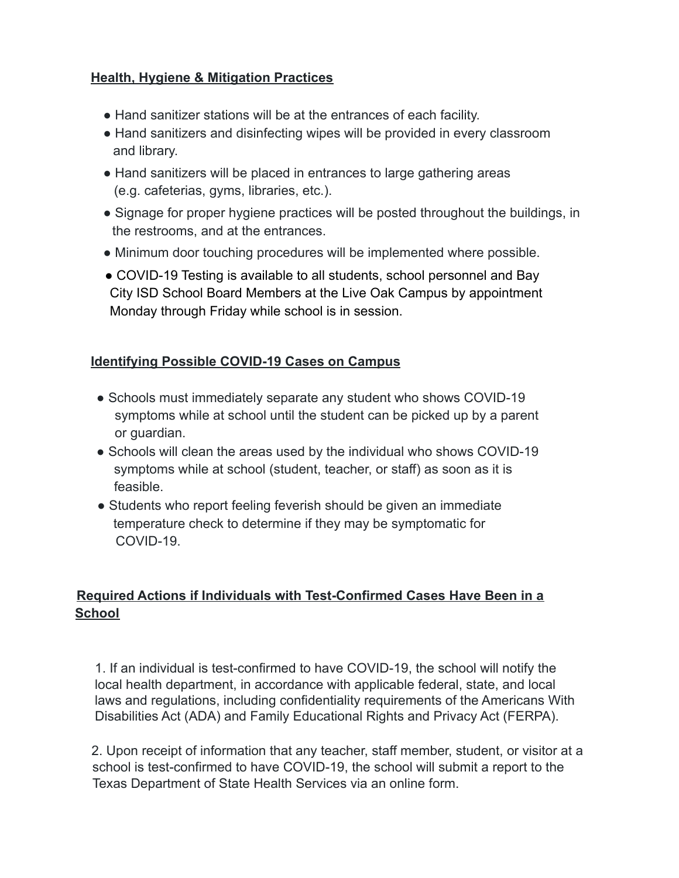#### **Health, Hygiene & Mitigation Practices**

- Hand sanitizer stations will be at the entrances of each facility.
- Hand sanitizers and disinfecting wipes will be provided in every classroom and library.
- Hand sanitizers will be placed in entrances to large gathering areas (e.g. cafeterias, gyms, libraries, etc.).
- Signage for proper hygiene practices will be posted throughout the buildings, in the restrooms, and at the entrances.
- Minimum door touching procedures will be implemented where possible.
- COVID-19 Testing is available to all students, school personnel and Bay City ISD School Board Members at the Live Oak Campus by appointment Monday through Friday while school is in session.

## **Identifying Possible COVID-19 Cases on Campus**

- Schools must immediately separate any student who shows COVID-19 symptoms while at school until the student can be picked up by a parent or guardian.
- Schools will clean the areas used by the individual who shows COVID-19 symptoms while at school (student, teacher, or staff) as soon as it is feasible.
- Students who report feeling feverish should be given an immediate temperature check to determine if they may be symptomatic for COVID-19.

## **Required Actions if Individuals with Test-Confirmed Cases Have Been in a School**

1. If an individual is test-confirmed to have COVID-19, the school will notify the local health department, in accordance with applicable federal, state, and local laws and regulations, including confidentiality requirements of the Americans With Disabilities Act (ADA) and Family Educational Rights and Privacy Act (FERPA).

2. Upon receipt of information that any teacher, staff member, student, or visitor at a school is test-confirmed to have COVID-19, the school will submit a report to the Texas Department of State Health Services via an online form.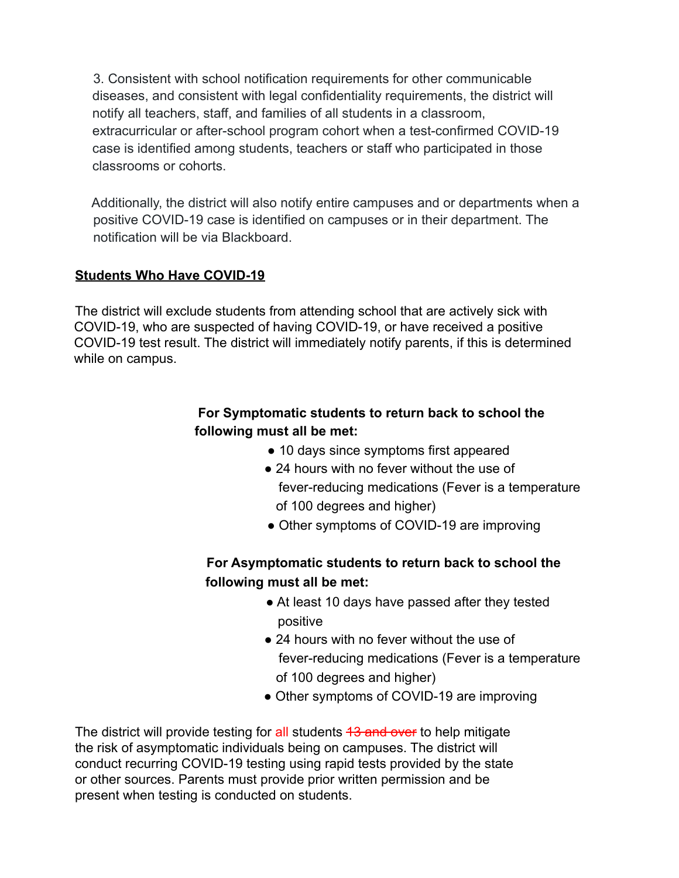3. Consistent with school notification requirements for other communicable diseases, and consistent with legal confidentiality requirements, the district will notify all teachers, staff, and families of all students in a classroom, extracurricular or after-school program cohort when a test-confirmed COVID-19 case is identified among students, teachers or staff who participated in those classrooms or cohorts.

Additionally, the district will also notify entire campuses and or departments when a positive COVID-19 case is identified on campuses or in their department. The notification will be via Blackboard.

#### **Students Who Have COVID-19**

The district will exclude students from attending school that are actively sick with COVID-19, who are suspected of having COVID-19, or have received a positive COVID-19 test result. The district will immediately notify parents, if this is determined while on campus.

# **For Symptomatic students to return back to school the following must all be met:**

- 10 days since symptoms first appeared
- 24 hours with no fever without the use of fever-reducing medications (Fever is a temperature of 100 degrees and higher)
- Other symptoms of COVID-19 are improving

# **For Asymptomatic students to return back to school the following must all be met:**

- At least 10 days have passed after they tested positive
- 24 hours with no fever without the use of fever-reducing medications (Fever is a temperature of 100 degrees and higher)
- Other symptoms of COVID-19 are improving

The district will provide testing for all students 43 and over to help mitigate the risk of asymptomatic individuals being on campuses. The district will conduct recurring COVID-19 testing using rapid tests provided by the state or other sources. Parents must provide prior written permission and be present when testing is conducted on students.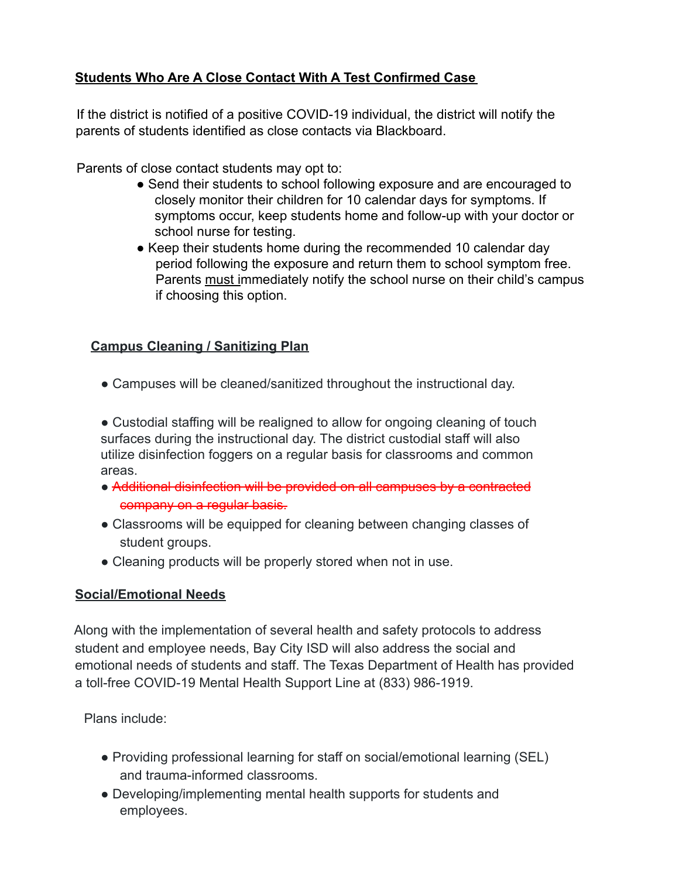# **Students Who Are A Close Contact With A Test Confirmed Case**

If the district is notified of a positive COVID-19 individual, the district will notify the parents of students identified as close contacts via Blackboard.

Parents of close contact students may opt to:

- Send their students to school following exposure and are encouraged to closely monitor their children for 10 calendar days for symptoms. If symptoms occur, keep students home and follow-up with your doctor or school nurse for testing.
- Keep their students home during the recommended 10 calendar day period following the exposure and return them to school symptom free. Parents must immediately notify the school nurse on their child's campus if choosing this option.

#### **Campus Cleaning / Sanitizing Plan**

• Campuses will be cleaned/sanitized throughout the instructional day.

● Custodial staffing will be realigned to allow for ongoing cleaning of touch surfaces during the instructional day. The district custodial staff will also utilize disinfection foggers on a regular basis for classrooms and common areas.

- Additional disinfection will be provided on all campuses by a contracted company on a regular basis.
- Classrooms will be equipped for cleaning between changing classes of student groups.
- Cleaning products will be properly stored when not in use.

#### **Social/Emotional Needs**

Along with the implementation of several health and safety protocols to address student and employee needs, Bay City ISD will also address the social and emotional needs of students and staff. The Texas Department of Health has provided a toll-free COVID-19 Mental Health Support Line at (833) 986-1919.

Plans include:

- Providing professional learning for staff on social/emotional learning (SEL) and trauma-informed classrooms.
- Developing/implementing mental health supports for students and employees.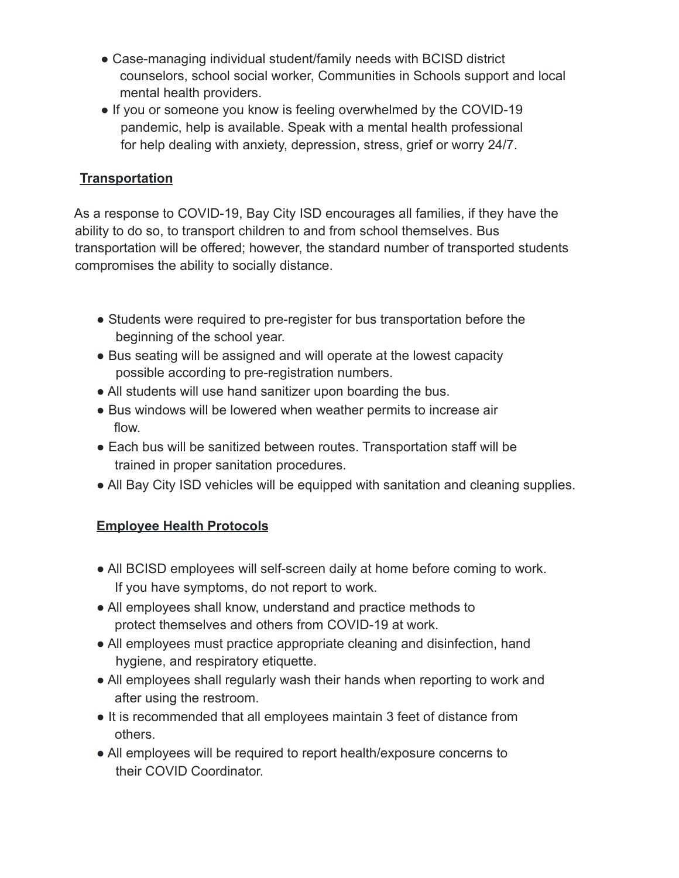- Case-managing individual student/family needs with BCISD district counselors, school social worker, Communities in Schools support and local mental health providers.
- If you or someone you know is feeling overwhelmed by the COVID-19 pandemic, help is available. Speak with a mental health professional for help dealing with anxiety, depression, stress, grief or worry 24/7.

## **Transportation**

As a response to COVID-19, Bay City ISD encourages all families, if they have the ability to do so, to transport children to and from school themselves. Bus transportation will be offered; however, the standard number of transported students compromises the ability to socially distance.

- Students were required to pre-register for bus transportation before the beginning of the school year.
- Bus seating will be assigned and will operate at the lowest capacity possible according to pre-registration numbers.
- All students will use hand sanitizer upon boarding the bus.
- Bus windows will be lowered when weather permits to increase air flow.
- Each bus will be sanitized between routes. Transportation staff will be trained in proper sanitation procedures.
- All Bay City ISD vehicles will be equipped with sanitation and cleaning supplies.

# **Employee Health Protocols**

- All BCISD employees will self-screen daily at home before coming to work. If you have symptoms, do not report to work.
- All employees shall know, understand and practice methods to protect themselves and others from COVID-19 at work.
- All employees must practice appropriate cleaning and disinfection, hand hygiene, and respiratory etiquette.
- All employees shall regularly wash their hands when reporting to work and after using the restroom.
- It is recommended that all employees maintain 3 feet of distance from others.
- All employees will be required to report health/exposure concerns to their COVID Coordinator.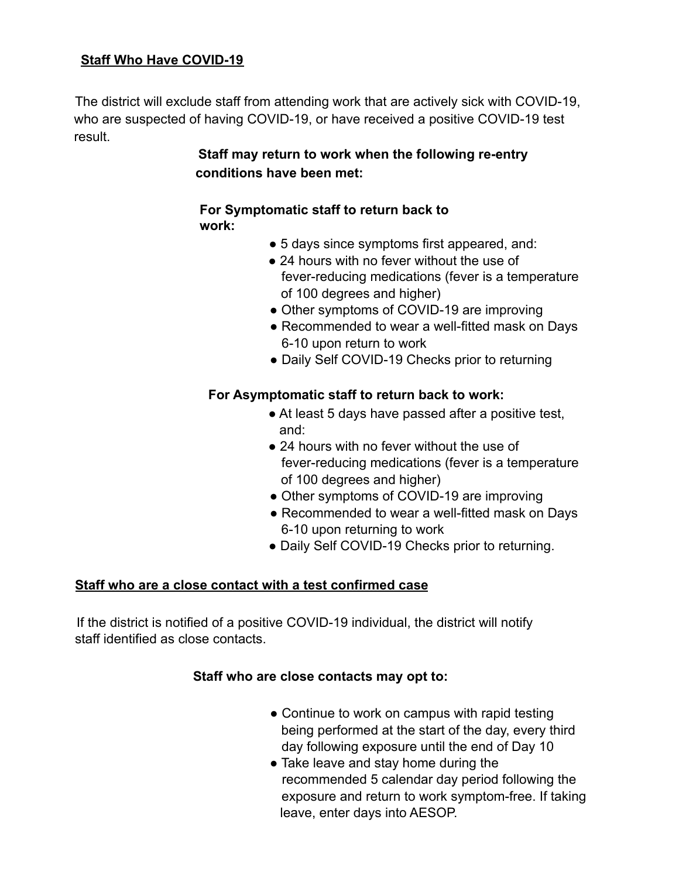#### **Staff Who Have COVID-19**

The district will exclude staff from attending work that are actively sick with COVID-19, who are suspected of having COVID-19, or have received a positive COVID-19 test result.

# **Staff may return to work when the following re-entry conditions have been met:**

#### **For Symptomatic staff to return back to work:**

- 5 days since symptoms first appeared, and:
- 24 hours with no fever without the use of fever-reducing medications (fever is a temperature of 100 degrees and higher)
- Other symptoms of COVID-19 are improving
- Recommended to wear a well-fitted mask on Days 6-10 upon return to work
- Daily Self COVID-19 Checks prior to returning

#### **For Asymptomatic staff to return back to work:**

- At least 5 days have passed after a positive test, and:
- 24 hours with no fever without the use of fever-reducing medications (fever is a temperature of 100 degrees and higher)
- Other symptoms of COVID-19 are improving
- Recommended to wear a well-fitted mask on Days 6-10 upon returning to work
- Daily Self COVID-19 Checks prior to returning.

#### **Staff who are a close contact with a test confirmed case**

If the district is notified of a positive COVID-19 individual, the district will notify staff identified as close contacts.

#### **Staff who are close contacts may opt to:**

- Continue to work on campus with rapid testing being performed at the start of the day, every third day following exposure until the end of Day 10
- Take leave and stay home during the recommended 5 calendar day period following the exposure and return to work symptom-free. If taking leave, enter days into AESOP.